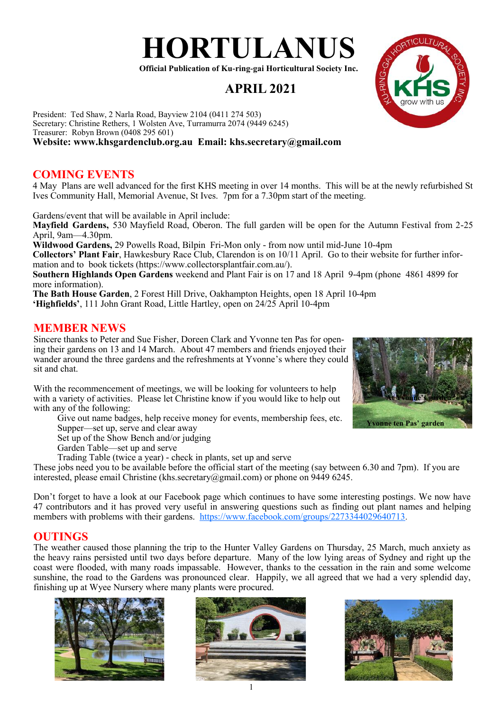# **HORTULANUS**

**Official Publication of Ku-ring-gai Horticultural Society Inc.**

## **APRIL 2021**

President: Ted Shaw, 2 Narla Road, Bayview 2104 (0411 274 503) Secretary: Christine Rethers, 1 Wolsten Ave, Turramurra 2074 (9449 6245) Treasurer: Robyn Brown (0408 295 601) **Website: www.khsgardenclub.org.au Email: khs.secretary@gmail.com**

## **COMING EVENTS**

4 May Plans are well advanced for the first KHS meeting in over 14 months. This will be at the newly refurbished St Ives Community Hall, Memorial Avenue, St Ives. 7pm for a 7.30pm start of the meeting.

Gardens/event that will be available in April include:

**Mayfield Gardens,** 530 Mayfield Road, Oberon. The full garden will be open for the Autumn Festival from 2-25 April, 9am—4.30pm.

**Wildwood Gardens,** 29 Powells Road, Bilpin Fri-Mon only - from now until mid-June 10-4pm

**Collectors' Plant Fair**, Hawkesbury Race Club, Clarendon is on 10/11 April. Go to their website for further information and to book tickets (https://www.collectorsplantfair.com.au/).

**Southern Highlands Open Gardens** weekend and Plant Fair is on 17 and 18 April 9-4pm (phone 4861 4899 for more information).

**The Bath House Garden**, 2 Forest Hill Drive, Oakhampton Heights, open 18 April 10-4pm

**'Highfields'**, 111 John Grant Road, Little Hartley, open on 24/25 April 10-4pm

#### **MEMBER NEWS**

Sincere thanks to Peter and Sue Fisher, Doreen Clark and Yvonne ten Pas for opening their gardens on 13 and 14 March. About 47 members and friends enjoyed their wander around the three gardens and the refreshments at Yvonne's where they could sit and chat.

With the recommencement of meetings, we will be looking for volunteers to help with a variety of activities. Please let Christine know if you would like to help out with any of the following:

Give out name badges, help receive money for events, membership fees, etc. Supper—set up, serve and clear away

Set up of the Show Bench and/or judging

Garden Table—set up and serve

Trading Table (twice a year) - check in plants, set up and serve

These jobs need you to be available before the official start of the meeting (say between 6.30 and 7pm). If you are interested, please email Christine (khs.secretary@gmail.com) or phone on 9449 6245.

Don't forget to have a look at our Facebook page which continues to have some interesting postings. We now have 47 contributors and it has proved very useful in answering questions such as finding out plant names and helping members with problems with their gardens. <https://www.facebook.com/groups/2273344029640713>.

## **OUTINGS**

The weather caused those planning the trip to the Hunter Valley Gardens on Thursday, 25 March, much anxiety as the heavy rains persisted until two days before departure. Many of the low lying areas of Sydney and right up the coast were flooded, with many roads impassable. However, thanks to the cessation in the rain and some welcome sunshine, the road to the Gardens was pronounced clear. Happily, we all agreed that we had a very splendid day, finishing up at Wyee Nursery where many plants were procured.







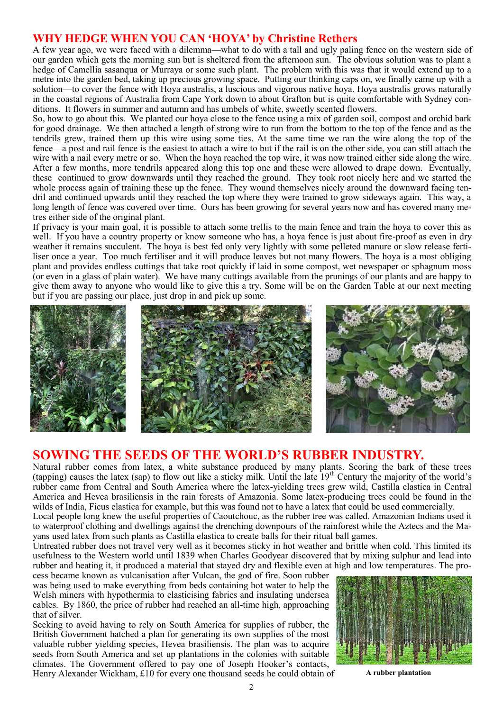## **WHY HEDGE WHEN YOU CAN 'HOYA' by Christine Rethers**

A few year ago, we were faced with a dilemma—what to do with a tall and ugly paling fence on the western side of our garden which gets the morning sun but is sheltered from the afternoon sun. The obvious solution was to plant a hedge of Camellia sasanqua or Murraya or some such plant. The problem with this was that it would extend up to a metre into the garden bed, taking up precious growing space. Putting our thinking caps on, we finally came up with a solution—to cover the fence with Hoya australis, a luscious and vigorous native hoya. Hoya australis grows naturally in the coastal regions of Australia from Cape York down to about Grafton but is quite comfortable with Sydney conditions. It flowers in summer and autumn and has umbels of white, sweetly scented flowers.

So, how to go about this. We planted our hoya close to the fence using a mix of garden soil, compost and orchid bark for good drainage. We then attached a length of strong wire to run from the bottom to the top of the fence and as the tendrils grew, trained them up this wire using some ties. At the same time we ran the wire along the top of the fence—a post and rail fence is the easiest to attach a wire to but if the rail is on the other side, you can still attach the wire with a nail every metre or so. When the hoya reached the top wire, it was now trained either side along the wire. After a few months, more tendrils appeared along this top one and these were allowed to drape down. Eventually, these continued to grow downwards until they reached the ground. They took root nicely here and we started the whole process again of training these up the fence. They wound themselves nicely around the downward facing tendril and continued upwards until they reached the top where they were trained to grow sideways again. This way, a long length of fence was covered over time. Ours has been growing for several years now and has covered many metres either side of the original plant.

If privacy is your main goal, it is possible to attach some trellis to the main fence and train the hoya to cover this as well. If you have a country property or know someone who has, a hova fence is just about fire-proof as even in dry weather it remains succulent. The hoya is best fed only very lightly with some pelleted manure or slow release fertiliser once a year. Too much fertiliser and it will produce leaves but not many flowers. The hoya is a most obliging plant and provides endless cuttings that take root quickly if laid in some compost, wet newspaper or sphagnum moss (or even in a glass of plain water). We have many cuttings available from the prunings of our plants and are happy to give them away to anyone who would like to give this a try. Some will be on the Garden Table at our next meeting but if you are passing our place, just drop in and pick up some.



## **SOWING THE SEEDS OF THE WORLD'S RUBBER INDUSTRY.**

Natural rubber comes from latex, a white substance produced by many plants. Scoring the bark of these trees (tapping) causes the latex (sap) to flow out like a sticky milk. Until the late  $19<sup>th</sup>$  Century the majority of the world's rubber came from Central and South America where the latex-yielding trees grew wild, Castilla elastica in Central America and Hevea brasiliensis in the rain forests of Amazonia. Some latex-producing trees could be found in the wilds of India, Ficus elastica for example, but this was found not to have a latex that could be used commercially.

Local people long knew the useful properties of Caoutchouc, as the rubber tree was called. Amazonian Indians used it to waterproof clothing and dwellings against the drenching downpours of the rainforest while the Aztecs and the Mayans used latex from such plants as Castilla elastica to create balls for their ritual ball games.

Untreated rubber does not travel very well as it becomes sticky in hot weather and brittle when cold. This limited its usefulness to the Western world until 1839 when Charles Goodyear discovered that by mixing sulphur and lead into rubber and heating it, it produced a material that stayed dry and flexible even at high and low temperatures. The pro-

cess became known as vulcanisation after Vulcan, the god of fire. Soon rubber was being used to make everything from beds containing hot water to help the Welsh miners with hypothermia to elasticising fabrics and insulating undersea cables. By 1860, the price of rubber had reached an all-time high, approaching that of silver.

Seeking to avoid having to rely on South America for supplies of rubber, the British Government hatched a plan for generating its own supplies of the most valuable rubber yielding species, Hevea brasiliensis. The plan was to acquire seeds from South America and set up plantations in the colonies with suitable climates. The Government offered to pay one of Joseph Hooker's contacts, Henry Alexander Wickham, £10 for every one thousand seeds he could obtain of **A** rubber plantation

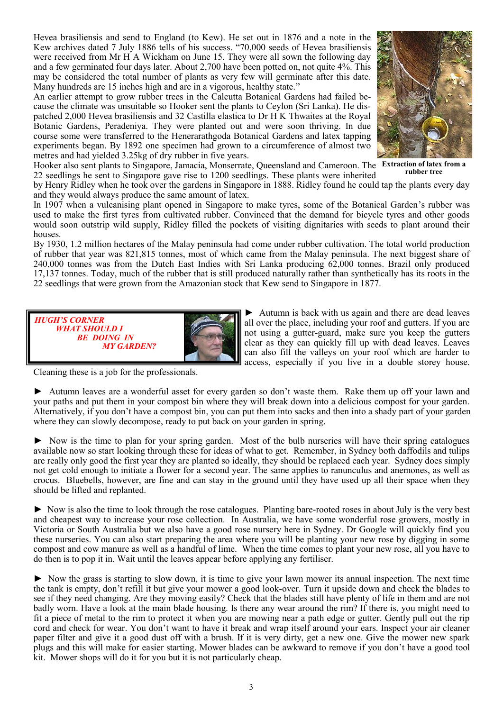Hevea brasiliensis and send to England (to Kew). He set out in 1876 and a note in the Kew archives dated 7 July 1886 tells of his success. "70,000 seeds of Hevea brasiliensis were received from Mr H A Wickham on June 15. They were all sown the following day and a few germinated four days later. About 2,700 have been potted on, not quite 4%. This may be considered the total number of plants as very few will germinate after this date. Many hundreds are 15 inches high and are in a vigorous, healthy state."

An earlier attempt to grow rubber trees in the Calcutta Botanical Gardens had failed because the climate was unsuitable so Hooker sent the plants to Ceylon (Sri Lanka). He dispatched 2,000 Hevea brasiliensis and 32 Castilla elastica to Dr H K Thwaites at the Royal Botanic Gardens, Peradeniya. They were planted out and were soon thriving. In due course some were transferred to the Henerarathgoda Botanical Gardens and latex tapping experiments began. By 1892 one specimen had grown to a circumference of almost two metres and had yielded 3.25kg of dry rubber in five years.



Hooker also sent plants to Singapore, Jamacia, Monserrate, Queensland and Cameroon. The **Extraction of latex from a**  22 seedlings he sent to Singapore gave rise to 1200 seedlings. These plants were inherited **rubber tree**

by Henry Ridley when he took over the gardens in Singapore in 1888. Ridley found he could tap the plants every day and they would always produce the same amount of latex.

In 1907 when a vulcanising plant opened in Singapore to make tyres, some of the Botanical Garden's rubber was used to make the first tyres from cultivated rubber. Convinced that the demand for bicycle tyres and other goods would soon outstrip wild supply, Ridley filled the pockets of visiting dignitaries with seeds to plant around their houses.

By 1930, 1.2 million hectares of the Malay peninsula had come under rubber cultivation. The total world production of rubber that year was 821,815 tonnes, most of which came from the Malay peninsula. The next biggest share of 240,000 tonnes was from the Dutch East Indies with Sri Lanka producing 62,000 tonnes. Brazil only produced 17,137 tonnes. Today, much of the rubber that is still produced naturally rather than synthetically has its roots in the 22 seedlings that were grown from the Amazonian stock that Kew send to Singapore in 1877.



► Autumn is back with us again and there are dead leaves all over the place, including your roof and gutters. If you are not using a gutter-guard, make sure you keep the gutters clear as they can quickly fill up with dead leaves. Leaves can also fill the valleys on your roof which are harder to access, especially if you live in a double storey house.

Cleaning these is a job for the professionals.

► Autumn leaves are a wonderful asset for every garden so don't waste them. Rake them up off your lawn and your paths and put them in your compost bin where they will break down into a delicious compost for your garden. Alternatively, if you don't have a compost bin, you can put them into sacks and then into a shady part of your garden where they can slowly decompose, ready to put back on your garden in spring.

► Now is the time to plan for your spring garden. Most of the bulb nurseries will have their spring catalogues available now so start looking through these for ideas of what to get. Remember, in Sydney both daffodils and tulips are really only good the first year they are planted so ideally, they should be replaced each year. Sydney does simply not get cold enough to initiate a flower for a second year. The same applies to ranunculus and anemones, as well as crocus. Bluebells, however, are fine and can stay in the ground until they have used up all their space when they should be lifted and replanted.

► Now is also the time to look through the rose catalogues. Planting bare-rooted roses in about July is the very best and cheapest way to increase your rose collection. In Australia, we have some wonderful rose growers, mostly in Victoria or South Australia but we also have a good rose nursery here in Sydney. Dr Google will quickly find you these nurseries. You can also start preparing the area where you will be planting your new rose by digging in some compost and cow manure as well as a handful of lime. When the time comes to plant your new rose, all you have to do then is to pop it in. Wait until the leaves appear before applying any fertiliser.

► Now the grass is starting to slow down, it is time to give your lawn mower its annual inspection. The next time the tank is empty, don't refill it but give your mower a good look-over. Turn it upside down and check the blades to see if they need changing. Are they moving easily? Check that the blades still have plenty of life in them and are not badly worn. Have a look at the main blade housing. Is there any wear around the rim? If there is, you might need to fit a piece of metal to the rim to protect it when you are mowing near a path edge or gutter. Gently pull out the rip cord and check for wear. You don't want to have it break and wrap itself around your ears. Inspect your air cleaner paper filter and give it a good dust off with a brush. If it is very dirty, get a new one. Give the mower new spark plugs and this will make for easier starting. Mower blades can be awkward to remove if you don't have a good tool kit. Mower shops will do it for you but it is not particularly cheap.